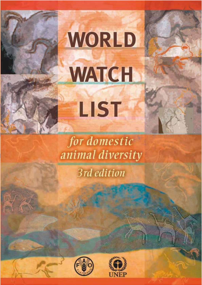

# WORLD **WATCH** LIST

for domestic animal diversity

3rd edition



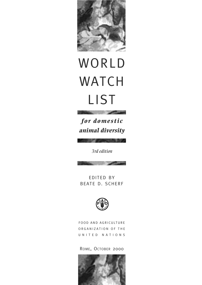

# **WORLD WATCH** LIST

*for domestic animal diversity*

*3rd edition*



EDITED BY BEATE D. SCHERF



FOOD AND AGRICULTURE ORGANIZATION OF THE UNITED NATIONS

ROME, OCTOBER 2000

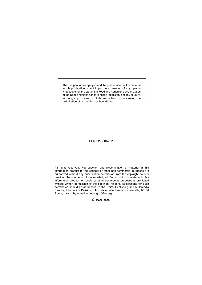The designations employed and the presentation of the material in this publication do not imply the expression of any opinion whatsoever on the part of the Food and Agriculture Organization of the United Nations concerning the legal status of any country, territory, city or area or of its authorities, or concerning the delimitation of its frontiers or boundaries.

ISBN 92-5-104511-9

All rights reserved. Reproduction and dissemination of material in this information product for educational or other non-commercial purposes are authorized without any prior written permission from the copyright holders provided the source is fully acknowledged. Reproduction of material in this information product for resale or other commercial purposes is prohibited without written permission of the copyright holders. Applications for such permission should be addressed to the Chief, Publishing and Multimedia Service, Information Division, FAO, Viale delle Terme di Caracalla, 00100 Rome, Italy or by e-mail to copyright@fao.org

© **FAO 2000**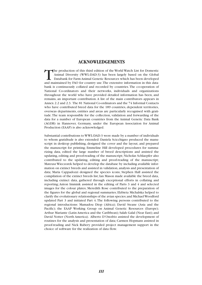# **ACKNOWLEDGEMENTS**

The production of this third edition of the World Watch List for Domestic Animal Diversity (WWL-DAD:3) has been largely based on the Global Databank for Farm Animal Genetic Resources which has been developed and maintained by FAO for country use.The extensive information in this databank is continuously collated and recorded by countries. The co-operation of National Co-ordinators and their networks, individuals and organizations throughout the world who have provided detailed information has been, and remains, an important contribution. A list of the main contributors appears in Annex 2.2 and 2.3. The 81 National Co-ordinators and the 74 Informal Contacts who have contributed breed data for the 189 countries, dependent territories, overseas departments, entities and areas are particularly recognised with gratitude.The team responsible for the collection, validation and forwarding of the data for a number of European countries from the Animal Genetic Data Bank (AGDB) in Hannover, Germany, under the European Association for Animal Production (EAAP) is also acknowledged.

Substantial contributions to WWL-DAD:3 were made by a number of individuals to whom gratidtude is also extended: Daniela Scicchigno produced the manuscript in desktop publishing, designed the cover and the layout, and prepared the manuscript for printing; Emmeline Hill developed procedures for summarizing data, edited the large number of breed descriptions and assisted the updating, editing and proof-reading of the manuscript; Nicholas Schlaepfer also contributed to the updating, editing and proof-reading of the manuscript; Mateusz Wieczorek helped to develop the database by including available information on extinct breeds and assisted in validation, analysis and presentation of data; Maria Cappadozzi designed the species icons; Stephen Hall assisted the compilation of the extinct breeds list; Ian Mason made available the breed data, including extinct data, gathered through exceptional efforts in collating and reporting; Anton Immink assisted in the editing of Parts 3 and 4 and selected images for the colour plates; Meredith Rose contributed to the preparation of the figures for the global and regional summaries; Elzbieta Michalska helped to clarify the evolutionary relationships of the avian species;and Michael Woodford updated Part 3 and initiated Part 4. The following persons contributed to the regional introductions: Mamadou Diop (Africa); David Steane (Asia and the Pacific); the EAAP Working Group on Animal Genetic Resources (Europe); Arthur Mariante (Latin America and the Caribbean); Salah Galal (Near East); and David Notter (North America). Alberto D'Onofrio assisted the development of routines for the analysis and presentation of data; Carmen Hopmans assisted in proof-reading and Nick Rubery provided project management support in the choice of software for the realization of data flow.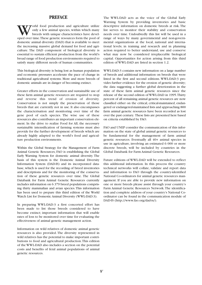# **PREFACE**

orld food production and agriculture utilize only a few animal species, within which many breeds with unique characteristics have developed over time.These genetic resources form the pool of domestic animal diversity (DAD) that is available to meet the increasing massive global demand for food and agriculture. The DAD component of biological diversity is essential to sustain efficient production from the world's broad range of food production environments required to satisfy many different needs of human communities.

This biological diversity is being lost as human population and economic pressures accelerate the pace of change in traditional agricultural systems. More and more breeds of domestic animals are in danger of becoming extinct.

Greater efforts in the conservation and sustainable use of these farm animal genetic resources are required to stop and reverse this trend of erosion of diversity. Conservation is not simply the preservation of those breeds that are currently not in use. It also encompasses the characterisation and monitoring over time of the gene pool of each species. The wise use of these resources also contributes an important conservation element. In the drive to realize Food for All, the necessary sustainable intensification of farming systems must also provide for the further development of breeds which are already highly adapted to the world's food and agriculture production environments.

Within the Global Strategy for the Management of Farm Animal Genetic Resources, FAO is establishing the Global Early Warning System for domestic animal diversity. The basis of this system is the Domestic Animal Diversity Information System (DAD-IS) and its incorporated database, which is used for the recording of breed inventories and descriptions and for the monitoring of the conservation of these genetic resources over time. The Global Databank for Farm Animal Genetic Resources currently includes information on 6 379 breed populations comprising thirty mammalian and avian species.This information has been used to prepare this third edition of the World Watch List for Domestic Animal Diversity (WWL-DAD:3).

In preparing WWL-DAD:3 a first concerted effort has been made to list those breeds considered to have become extinct; important information that will enable rates of loss to be monitored over time for evaluating the effectiveness of animal genetic management action.

Information on wild relatives of domestic animal genetic resources is also provided. The diversity represented in wild relatives has the potential to make important contributions to food and agricultural production.This edition of the WWL-DAD also includes a section on the potential costs and benefits of feral animal populations of animal genetic resources.

The WWL-DAD acts as the voice of the Global Early Warning System by providing inventories and basic descriptive information on domestic breeds at risk. The list serves to monitor their stability and conservation needs over time. Undoubtedly this list will be used in a range of ways by many governmental and non-governmental organizations at the local, national and international levels; in training and research and in planning action required to better understand, use and conserve what may now be considered irreplaceable biological capital. Opportunities for action arising from this third edition of WWL-DAD are listed in section 1.2.

WWL-DAD:3 contains new information on a large number of breeds and additional information on breeds that were listed in the first and second editions. WWL-DAD:3 provides further evidence for the erosion of genetic diversity; the data suggesting a further global deterioration in the state of these farm animal genetic resources since the release of the second edition of WWL-DAD in 1995.Thirty percent of all remaining animal genetic resources are now classified either on the critical, critical-maintained, endangered or endangered-maintained lists and approaching 800 farm animal genetic resources have been recorded as lost over the past century. These lists are presented here based on criteria established by FAO.

FAO and UNEP consider the communication of this information on the state of global animal genetic resources to be fundamental for the management of farm animal genetic resources. Eventually all 40+ animal species in use in agriculture, involving an estimated 6 000 or more discrete breeds, will be included by countries in the Global Databank for Farm Animal Genetic Resources.

Future editions of WWL-DAD will be extended to reflect this additional information. In this process the country technical networks will collate, validate and report data and information to FAO through the country-identified National Co-ordinators for animal genetic resources management. If you are able to provide new information on one or more breeds please assist through your country's Farm Animal Genetic Resources Network.The identification and complete address of your country's National Coordinator can be found in the communication module of DAD-IS (http://www.fao.org/dad-is/).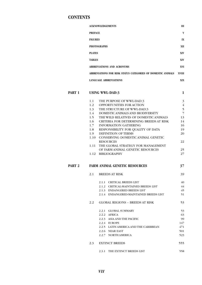# **CONTENTS**

|        |                | <b>ACKNOWLEDGEMENTS</b>                                      | III            |
|--------|----------------|--------------------------------------------------------------|----------------|
|        | <b>PREFACE</b> |                                                              | $\mathbf{V}$   |
|        | <b>FIGURES</b> |                                                              | IX             |
|        |                | <b>PHOTOGRAPHS</b>                                           | XII            |
|        | <b>PLATES</b>  |                                                              | <b>XIV</b>     |
|        | <b>TABLES</b>  |                                                              | <b>XIV</b>     |
|        |                | <b>ABBREVIATIONS AND ACRONYMS</b>                            | XVI            |
|        |                | ABBREVIATIONS FOR RISK STATUS CATEGORIES OF DOMESTIC ANIMALS | <b>XVIII</b>   |
|        |                | <b>LANGUAGE ABBREVIATIONS</b>                                | <b>XIX</b>     |
| PART 1 |                | <b>USING WWL-DAD:3</b>                                       | $\mathbf{1}$   |
|        | 1.1            | THE PURPOSE OF WWL-DAD:3                                     | $\overline{3}$ |
|        | 1.2            | <b>OPPORTUNITIES FOR ACTION</b>                              | $\overline{4}$ |
|        |                | 1.3 THE STRUCTURE OF WWL-DAD:3                               | 5              |
|        | $1.4 -$        | DOMESTIC ANIMALS AND BIODIVERSITY                            | $\overline{7}$ |
|        |                | 1.5 THE WILD RELATIVES OF DOMESTIC ANIMALS                   | 13             |
|        | 1.6            | <b>CRITERIA FOR DETERMINING BREEDS AT RISK</b>               | 14             |
|        | 1.7            | <b>INFORMATION GATHERING</b>                                 | 16             |
|        | 1.8            | RESPONSIBILITY FOR QUALITY OF DATA                           | 19             |
|        | 1.9            | <b>DEFINITION OF TERMS</b>                                   | 20             |
|        | 1.10           | <b>CONSERVING DOMESTIC ANIMAL GENETIC</b>                    |                |

| <b>RESOURCES</b>                        | 22 |
|-----------------------------------------|----|
| 1.11 THE GLOBAL STRATEGY FOR MANAGEMENT |    |
| OF FARM ANIMAL GENETIC RESOURCES        | 25 |
| 1.12 BIBLIOGRAPHY                       |    |

# **PART 2 FARM ANIMAL GENETIC RESOURCES** 37

# 2.1 BREEDS AT RISK 39

|     | 2.1.1 CRITICAL BREEDS LIST              | 40  |
|-----|-----------------------------------------|-----|
|     | 2.1.2 CRITICAL-MAINTAINED BREEDS LIST   | 44  |
|     | 2.1.3 ENDANGERED BREEDS LIST            | 45  |
|     | 2.1.4 ENDANGERED-MAINTAINED BREEDS LIST | 51  |
| 2.2 | <b>GLOBAL REGIONS - BREEDS AT RISK</b>  | 53  |
|     | 2.2.1 GLOBAL SUMMARY                    | 53  |
|     | 2.2.2 AFRICA                            | 63  |
|     | 2.2.3 ASIA AND THE PACIFIC              | 99  |
|     | 2.2.4 EUROPE                            | 147 |
|     | 2.2.5 LATIN AMERICA AND THE CARIBBEAN   | 471 |
|     | 2.2.6 NEAR EAST                         | 501 |
|     | 2.2.7 NORTH AMERICA                     | 523 |
|     | 2.3 EXTINCT BREEDS                      | 555 |
|     | 2.3.1 THE EXTINCT BREEDS LIST           | 558 |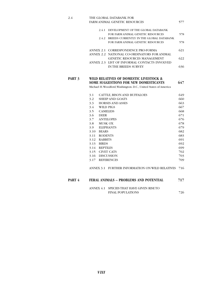2.4 THE GLOBAL DATABANK FOR FARM ANIMAL GENETIC RESOURCES 577 2.4.1 DEVELOPMENT OF THE GLOBAL DATABANK FOR FARM ANIMAL GENETIC RESOURCES 578 2.4.2 BREEDS CURRENTLY IN THE GLOBAL DATABANK FOR FARM ANIMAL GENETIC RESOURCES 578 ANNEX 2.1 CORRESPONDENCE PRO-FORMA 621 ANNEX 2.2 NATIONAL CO-ORDINATORS FOR ANIMAL GENETIC RESOURCES MANAGEMENT 622 ANNEX 2.3 LIST OF INFORMAL CONTACTS INVOLVED IN THE BREEDS SURVEY 636 **PART 3 WILD RELATIVES OF DOMESTIC LIVESTOCK & SOME SUGGESTIONS FOR NEW DOMESTICANTS** 647 Michael H.Woodford,Washington. D.C., United States of America 3.1 CATTLE, BISON AND BUFFALOES 649 3.2 SHEEP AND GOATS 660 3.3 HORSES AND ASSES 663 3.4 WILD PIGS 667 3.5 CAMELIDS 668 3.6 DEER 671 3.7 ANTELOPES 676 3.8 MUSK OX 678 3.9 ELEPHANTS 679 3.10 BEARS 682 3.11 RODENTS 683 3.12 RABBITS 691 3.13 BIRDS 692 3.14 REPTILES 699 3.15 CIVET CATS 702 3.16 DISCUSSION 703 3.17 REFERENCES 709 ANNEX 3.1 FURTHER INFORMATION ON WILD RELATIVES 716

# **PART 4 FERAL ANIMALS – PROBLEMS AND POTENTIAL 717**

#### ANNEX 4.1 SPECIES THAT HAVE GIVEN RISE TO FINAL POPULATIONS 726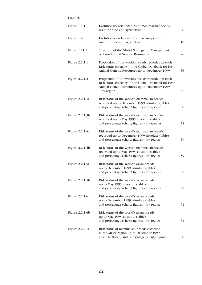# **FIGURES**

| Figure $1.4.1$    | Evolutionary relationships of mammalian species<br>used for food and agriculture                                                                                         | 8  |
|-------------------|--------------------------------------------------------------------------------------------------------------------------------------------------------------------------|----|
| Figure $1.4.2$    | Evolutionary relationships of avian species<br>used for food and agriculture                                                                                             | 10 |
| Figure 1.11.1     | Structure of the Global Strategy for Management<br>of Farm Animal Genetic Resources                                                                                      | 26 |
| Figure 2.2.1.1    | Proportion of the world's breeds recorded in each<br>Risk status category in the Global Databank for Farm<br>Animal Genetic Resources up to December 1999                | 56 |
| Figure 2.2.1.2    | Proportion of the world's breeds recorded in each<br>Risk status category in the Global Databank for Farm<br>Animal Genetic Resources up to December 1999<br>- by region | 57 |
| Figure 2.2.1.3a   | Risk status of the world's mammalian breeds<br>recorded up to December 1999: absolute (table)<br>and percentage (chart) figures - by species                             | 58 |
| Figure 2.2.1.3b   | Risk status of the world's mammalian breeds<br>recorded up to May 1995: absolute (table)<br>and percentage (chart) figures - by species                                  | 58 |
| Figure 2.2.1.4a   | Risk status of the world's mammalian breeds<br>recorded up to December 1999: absolute (table)<br>and percentage (chart) figures - by region                              | 59 |
| Figure 2.2.1.4b   | Risk status of the world's mammalian breeds<br>recorded up to May 1995: absolute (table)<br>and percentage (chart) figures - by region                                   | 59 |
| Figure 2.2.1.5a   | Risk status of the world's avian breeds<br>up to December 1999: absolute (table)<br>and percentage (chart) figures - by species                                          | 60 |
| Figure 2.2.1.5b   | Risk status of the world's avian breeds<br>up to May 1995: absolute (table)<br>and percentage (chart) figures - by species                                               | 60 |
| Figure 2.2.1.6a   | Risk status of the world's avian breeds<br>up to December 1999: absolute (table)<br>and percentage (chart) figures - by region                                           | 61 |
| Figure $2.2.1.6b$ | Risk status of the world's avian breeds<br>up to May 1995: absolute (table)<br>and percentage (chart) figures - by region                                                | 61 |
| Figure 2.2.2.1a   | Risk status of mammalian breeds recorded<br>in the Africa region up to December 1999:<br>absolute (table) and percentage (chart) figures                                 | 68 |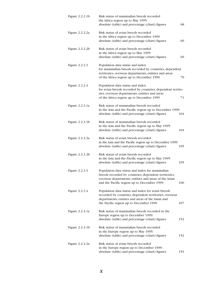| Figure 2.2.2.1b | Risk status of mammalian breeds recorded<br>the Africa region up to May 1995:<br>absolute (table) and percentage (chart) figures | 68  |
|-----------------|----------------------------------------------------------------------------------------------------------------------------------|-----|
| Figure 2.2.2.2a | Risk status of avian breeds recorded<br>in the Africa region up to December 1999:                                                |     |
|                 | absolute (table) and percentage (chart) figures                                                                                  | 69  |
| Figure 2.2.2.2b | Risk status of avian breeds recorded<br>in the Africa region up to May 1995:                                                     |     |
|                 | absolute (table) and percentage (chart) figures                                                                                  | 69  |
| Figure 2.2.2.3  | Population data status and index                                                                                                 |     |
|                 | for mammalian breeds recorded by countries, dependent<br>territories, overseas departments, entities and areas                   |     |
|                 | of the Africa region up to December 1999                                                                                         | 70  |
| Figure 2.2.2.4  | Population data status and index                                                                                                 |     |
|                 | for avian breeds recorded by countries, dependent territo-                                                                       |     |
|                 | ries, overseas departments, entities and areas<br>of the Africa region up to December 1999                                       | 71  |
| Figure 2.2.3.1a | Risk status of mammalian breeds recorded                                                                                         |     |
|                 | in the Asia and the Pacific region up to December 1999:                                                                          |     |
|                 | absolute (table) and percentage (chart) figures                                                                                  | 104 |
| Figure 2.2.3.1b | Risk status of mammalian breeds recorded                                                                                         |     |
|                 | in the Asia and the Pacific region up to May 1995:                                                                               | 104 |
|                 | absolute (table) and percentage (chart) figures                                                                                  |     |
| Figure 2.2.3.2a | Risk status of avian breeds recorded                                                                                             |     |
|                 | in the Asia and the Pacific region up to December 1999:<br>absolute (table) and percentage (chart) figures                       | 105 |
| Figure 2.2.3.2b | Risk status of avian breeds recorded                                                                                             |     |
|                 | in the Asia and the Pacific region up to May 1995:                                                                               |     |
|                 | absolute (table) and percentage (chart) figures                                                                                  | 105 |
| Figure 2.2.3.3  | Population data status and index for mammalian                                                                                   |     |
|                 | breeds recorded by countries, dependent territories,                                                                             |     |
|                 | overseas departments, entities and areas of the Asian<br>and the Pacific region up to December 1999                              | 106 |
|                 |                                                                                                                                  |     |
| Figure 2.2.3.4  | Population data status and index for avian breeds                                                                                |     |
|                 | recorded by countries, dependent territories, overseas                                                                           |     |
|                 | departments, entities and areas of the Asian and<br>the Pacific region up to December 1999                                       | 107 |
|                 |                                                                                                                                  |     |
| Figure 2.2.4.1a | Risk status of mammalian breeds recorded in the                                                                                  |     |
|                 | Europe region up to December 1999:<br>absolute (table) and percentage (chart) figures                                            | 152 |
|                 |                                                                                                                                  |     |
| Figure 2.2.4.1b | Risk status of mammalian breeds recorded                                                                                         |     |
|                 | in the Europe region up to May 1995:<br>absolute (table) and percentage (chart) figures                                          | 152 |
|                 |                                                                                                                                  |     |
| Figure 2.2.4.2a | Risk status of avian breeds recorded                                                                                             |     |
|                 | in the Europe region up to December 1999:<br>absolute (table) and percentage (chart) figures                                     | 153 |
|                 |                                                                                                                                  |     |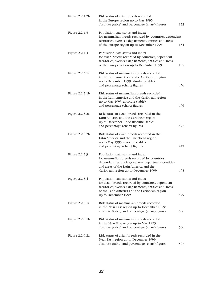| Figure 2.2.4.2b   | Risk status of avian breeds recorded<br>in the Europe region up to May 1995:<br>absolute (table) and percentage (chart) figures                                                                                            | 153 |
|-------------------|----------------------------------------------------------------------------------------------------------------------------------------------------------------------------------------------------------------------------|-----|
| Figure 2.2.4.3    | Population data status and index<br>for mammalian breeds recorded by countries, dependent<br>territories, overseas departments, entities and areas<br>of the Europe region up to December 1999                             | 154 |
| Figure 2.2.4.4    | Population data status and index<br>for avian breeds recorded by countries, dependent<br>territories, overseas departments, entities and areas                                                                             |     |
|                   | of the Europe region up to December 1999                                                                                                                                                                                   | 155 |
| Figure 2.2.5.1a   | Risk status of mammalian breeds recorded<br>in the Latin America and the Caribbean region<br>up to December 1999: absolute (table)                                                                                         |     |
|                   | and percentage (chart) figures                                                                                                                                                                                             | 476 |
| Figure $2.2.5.1b$ | Risk status of mammalian breeds recorded<br>in the Latin America and the Caribbean region<br>up to May 1995: absolute (table)<br>and percentage (chart) figures                                                            | 476 |
| Figure 2.2.5.2a   | Risk status of avian breeds recorded in the<br>Latin America and the Caribbean region<br>up to December 1999: absolute (table)<br>and percentage (chart) figures                                                           | 477 |
| Figure $2.2.5.2b$ | Risk status of avian breeds recorded in the<br>Latin America and the Caribbean region<br>up to May 1995: absolute (table)<br>and percentage (chart) figures                                                                | 477 |
| Figure 2.2.5.3    | Population data status and index<br>for mammalian breeds recorded by countries,<br>dependent territories, overseas departments, entities<br>and areas of the Latin America and the<br>Caribbean region up to December 1999 | 478 |
| Figure 2.2.5.4    | Population data status and index<br>for avian breeds recorded by countries, dependent<br>territories, overseas departments, entities and areas<br>of the Latin America and the Caribbean region<br>up to December 1999     | 479 |
| Figure 2.2.6.1a   | Risk status of mammalian breeds recorded<br>in the Near East region up to December 1999:<br>absolute (table) and percentage (chart) figures                                                                                | 506 |
| Figure 2.2.6.1b   | Risk status of mammalian breeds recorded<br>in the Near East region up to May 1995:<br>absolute (table) and percentage (chart) figures                                                                                     | 506 |
| Figure 2.2.6.2a   | Risk status of avian breeds recorded in the<br>Near East region up to December 1999:<br>absolute (table) and percentage (chart) figures                                                                                    | 507 |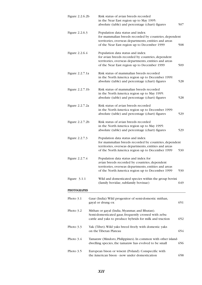| Figure 2.2.6.2b | Risk status of avian breeds recorded<br>in the Near East region up to May 1995:<br>absolute (table) and percentage (chart) figures                                                                    | 507 |
|-----------------|-------------------------------------------------------------------------------------------------------------------------------------------------------------------------------------------------------|-----|
| Figure 2.2.6.3  | Population data status and index<br>for mammalian breeds recorded by countries, dependent<br>territories, overseas departments, entities and areas<br>of the Near East region up to December 1999     | 508 |
| Figure 2.2.6.4  | Population data status and index<br>for avian breeds recorded by countries, dependent<br>territories, overseas departments, entities and areas<br>of the Near East region up to December 1999         | 509 |
| Figure 2.2.7.1a | Risk status of mammalian breeds recorded<br>in the North America region up to December 1999:<br>absolute (table) and percentage (chart) figures                                                       | 528 |
| Figure 2.2.7.1b | Risk status of mammalian breeds recorded<br>in the North America region up to May 1995:<br>absolute (table) and percentage (chart) figures                                                            | 528 |
| Figure 2.2.7.2a | Risk status of avian breeds recorded<br>in the North America region up to December 1999:<br>absolute (table) and percentage (chart) figures                                                           | 529 |
| Figure 2.2.7.2b | Risk status of avian breeds recorded<br>in the North America region up to May 1995:<br>absolute (table) and percentage (chart) figures                                                                | 529 |
| Figure 2.2.7.3  | Population data status and index<br>for mammalian breeds recorded by countries, dependent<br>territories, overseas departments, entities and areas<br>of the North America region up to December 1999 | 530 |
| Figure 2.2.7.4  | Population data status and index for<br>avian breeds recorded by countries, dependent<br>territories, overseas departments, entities and areas<br>of the North America region up to December 1999     | 530 |
| Figure $3.1.1$  | Wild and domesticated species within the group bovini<br>(family bovidae, subfamily bovinae)                                                                                                          | 649 |
| PHOTOGRAPHS     |                                                                                                                                                                                                       |     |
| Photo 3.1       | Gaur (India): Wild progenitor of semi-domestic mithan,<br>gayal or drung ox                                                                                                                           | 651 |
| Photo 3.2       | Mithan or gayal (India, Myanmar, and Bhutan).<br>Semi-domesticated gaur, frequently crossed with zebu<br>cattle and yaks to produce hybrids for milk and traction                                     | 652 |
| Photo $3.3$     | Yak (Tibet). Wild yaks breed freely with domestic yaks<br>on the Tibetan Plateau                                                                                                                      | 654 |
| Photo 3.4       | Tamaraw (Mindoro, Philippines). In common with other island-<br>dwelling species, the tamaraw has evolved to be small                                                                                 | 656 |
| Photo 3.5       | European bison or wisent (Poland). Conspecific with<br>the American bison - now under domestication                                                                                                   | 658 |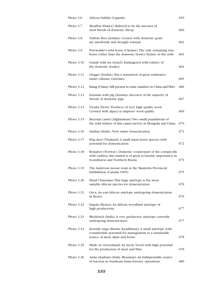| Photo 3.6    | African buffalo (Uganda)                                                                                                                                      | 659 |
|--------------|---------------------------------------------------------------------------------------------------------------------------------------------------------------|-----|
| Photo 3.7    | Mouflon (France). Believed to be the ancestor of<br>most breeds of domestic sheep                                                                             | 660 |
| Photo 3.8    | Nubian Ibex (Jordan). Crosses with domestic goats<br>are interfertile and drought tolerant                                                                    | 662 |
| Photo 3.9    | Przewalski's wild horse (Ukraine). The only remaining true<br>horse (other than the domestic horse). Extinct in the wild                                      | 663 |
| Photo 3.10   | Somali wild ass (Israel). Endangered wild relative of<br>the domestic donkey                                                                                  | 664 |
| Photo 3.11   | Onager (Jordan). Has a reputation of great endurance<br>under climatic extremes                                                                               | 665 |
| Photo 3.12   | Kiang (China). Still present in some numbers in China and Tibet                                                                                               | 666 |
| Photo 3.13   | Eurasian wild pig (Eurasia). Ancestor of the majority of<br>breeds of domestic pigs                                                                           | 667 |
| Photo 3.14   | Vicuña (Peru). Producer of very high quality wool.<br>Crossed with alpaca to improve wool quality                                                             | 669 |
| Photo 3.15   | Bactrian camel (Afghanistan). Two small populations of<br>the wild relative of this camel survive in Mongolia and China                                       | 670 |
| Photo 3.16   | Sambar (India). Now under domestication                                                                                                                       | 672 |
| Photo $3.17$ | Hog deer (Thailand). A small Asian forest species with<br>potential for domestication                                                                         | 672 |
| Photo 3.18   | Reindeer (Norway). Domestic counterpart of the conspecific<br>wild caribou, this animal is of great economic importance in<br>Scandinavia and Northern Russia | 673 |
| Photo $3.19$ | The Anderson moose team at the Manitoba Provincial<br>Exbhibition (Canada 1905)                                                                               | 675 |
| Photo $3.20$ | Eland (Tanzania). This large antelope is the most<br>suitable African species for domestication                                                               | 676 |
| Photo $3.21$ | Oryx. An east African antelope undergoing domestication<br>in Kenya                                                                                           | 676 |
| Photo 3.22   | Impala (Kenya). An African woodland antelope of<br>high productivity                                                                                          | 677 |
| Photo $3.23$ | Blackbuck (India). A very productive antelope currently<br>undergoing domestication                                                                           | 677 |
| Photo 3.24   | Juvenile saiga (Russia, Kazakhstan). A small antelope with<br>considerable potential for management as a sustainable<br>source of meat, skins and horns       | 678 |
| Photo 3.25   | Musk ox (Greenland). An Arctic bovid with high potential<br>for the production of meat and fibre                                                              | 678 |
| Photo 3.26   | Asian elephant (India, Myanmar). An indispensable source<br>of traction in Southeast Asian forestry operations                                                | 680 |
|              |                                                                                                                                                               |     |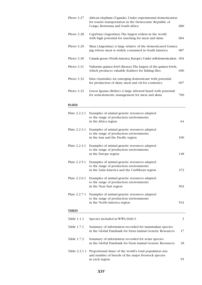| Photo 3.27    | African elephant (Uganda). Under experimental domestication<br>for tourist transportation in the Democratic Republic of<br>Congo, Botswana and South Africa | 680 |
|---------------|-------------------------------------------------------------------------------------------------------------------------------------------------------------|-----|
| Photo $3.28$  | Capybara (Argentina). The largest rodent in the world<br>with high potential for ranching for meat and skins                                                | 684 |
| Photo $3.29$  | Mara (Argentina). A large relative of the domesticated Guinea<br>pig whose meat is widely consumed in South America                                         | 687 |
| Photo $3.30$  | Canada goose (North America, Europe). Under self-domestication                                                                                              | 694 |
| Photo $3.31$  | Vulturine guinea fowl (Kenya). The largest of the guinea fowls,<br>which produces valuable feathers for fishing flies                                       | 696 |
| Photo $3.32$  | Emu (Australia). An emerging domesticant with potential<br>for production of skins, meat and oil for cosmetics                                              | 697 |
| Photo $3.33$  | Green Iguana (Belize). A large arboreal lizard with potential<br>for semi-domestic management for meat and skins                                            | 700 |
| <b>PLATES</b> |                                                                                                                                                             |     |
| Plate 2.2.2.1 | Examples of animal genetic resources adapted<br>to the range of production environments<br>in the Africa region                                             | 64  |
| Plate 2.2.3.1 | Examples of animal genetic resources adapted<br>to the range of production environments<br>in the Asia and the Pacific region                               | 100 |
| Plate 2.2.4.1 | Examples of animal genetic resources adapted<br>to the range of production environments<br>in the Europe region                                             | 148 |
| Plate 2.2.5.1 | Examples of animal genetic resources adapted<br>to the range of production environments<br>in the Latin America and the Caribbean region                    | 472 |
| Plate 2.2.6.1 | Examples of animal genetic resources adapted<br>to the range of production environments<br>in the Near East region                                          | 502 |
| Plate 2.2.7.1 | Examples of animal genetic resources adapted<br>to the range of production environments<br>in the North America region                                      | 524 |
| <b>TABLES</b> |                                                                                                                                                             |     |
| Table 1.1.1   | Species included in WWL-DAD:3                                                                                                                               | 3   |
| Table 1.7.1   | Summary of information recorded for mammalian species<br>in the Global Databank for Farm Animal Genetic Resources                                           | 17  |
| Table 1.7.2   | Summary of information recorded for avian species<br>in the Global Databank for Farm Animal Genetic Resources                                               | 18  |
| Table 2.2.1.1 | Proportional share of the world's total population size<br>and number of breeds of the major livestock species<br>in each region                            | 55  |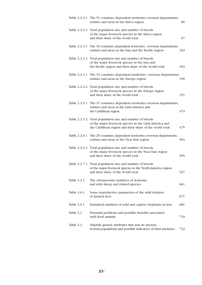|             | Table 2.2.2.1 The 51 countries, dependent territories, overseas departments,<br>entities and areas in the Africa region                                                        | 66  |
|-------------|--------------------------------------------------------------------------------------------------------------------------------------------------------------------------------|-----|
|             | Table 2.2.2.2 Total population size and number of breeds<br>of the major livestock species in the Africa region<br>and their share of the world total                          | 67  |
|             | Table 2.2.3.1 The 53 countries, dependent territories, overseas departments,<br>entities and areas in the Asia and the Pacific region                                          | 102 |
|             | Table 2.2.3.2 Total population size and number of breeds<br>of the major livestock species in the Asia and<br>the Pacific region and their share of the world total            | 103 |
|             | Table 2.2.4.1 The 52 countries, dependent territories, overseas departments,<br>entities and areas in the Europe region                                                        | 150 |
|             | Table 2.2.4.2 Total population size and number of breeds<br>of the major livestock species in the Europe region<br>and their share of the world total                          | 151 |
|             | Table 2.2.5.1 The 47 countries, dependent territories, overseas departments,<br>entities and areas in the Latin America and<br>the Caribbean region                            | 474 |
|             | Table 2.2.5.2 Total population size and number of breeds<br>of the major livestock species in the Latin America and<br>the Caribbean region and their share of the world total | 475 |
|             | Table 2.2.6.1 The 29 countries, dependent territories, overseas departments,<br>entities and areas in the Near East region                                                     | 504 |
|             | Table 2.2.6.2 Total population size and number of breeds<br>of the major livestock species in the Near East region<br>and their share of the world total                       | 505 |
|             | Table 2.2.7.1 Total population size and number of breeds<br>of the major livestock species in the North America region<br>and their share of the world total                   | 527 |
| Table 3.2.1 | The chromosome numbers of domestic<br>and wild sheep and related species                                                                                                       | 661 |
| Table 3.6.1 | Some reproductive parameters of the wild relatives<br>of farmed deer                                                                                                           | 671 |
| Table 3.9.1 | Estimated numbers of wild and captive elephants in Asia                                                                                                                        | 681 |
| Table 4.1   | Potential problems and possible benefits associated<br>with feral animals                                                                                                      | 719 |
| Table 4.2   | Valuable genetic attributes that may be present<br>in feral populations and possible indicators of their presence                                                              | 722 |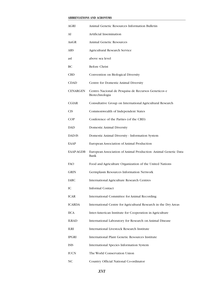#### **ABBREVIATIONS AND ACRONYMS**

| <b>AGRI</b>      | Animal Genetic Resources Information Bulletin                           |
|------------------|-------------------------------------------------------------------------|
| AI               | <b>Artificial Insemination</b>                                          |
| AnGR             | <b>Animal Genetic Resources</b>                                         |
| ARS              | <b>Agricultural Research Service</b>                                    |
| asl              | above sea level                                                         |
| ВC               | <b>Before Christ</b>                                                    |
| <b>CBD</b>       | Convention on Biological Diversity                                      |
| <b>CDAD</b>      | Centre for Domestic Animal Diversity                                    |
| <b>CENARGEN</b>  | Centro Nacional de Pesquisa de Recursos Geneticos e<br>Biotechnologia   |
| <b>CGIAR</b>     | Consultative Group on International Agricultural Research               |
| <b>CIS</b>       | Commonwealth of Independent States                                      |
| COP              | Conference of the Parties (of the CBD)                                  |
| <b>DAD</b>       | <b>Domestic Animal Diversity</b>                                        |
| <b>DAD-IS</b>    | Domestic Animal Diversity - Information System                          |
| EAAP             | European Association of Animal Production                               |
| <b>EAAP-AGDB</b> | European Association of Animal Production - Animal Genetic Data<br>Bank |
| <b>FAO</b>       | Food and Agriculture Organization of the United Nations                 |
| <b>GRIN</b>      | <b>Germplasm Resources Information Network</b>                          |
| <b>IARC</b>      | <b>International Agriculture Research Centres</b>                       |
| IC               | <b>Informal Contact</b>                                                 |
| <b>ICAR</b>      | <b>International Committee for Animal Recording</b>                     |
| <b>ICARDA</b>    | International Centre for Agricultural Research in the Dry Areas         |
| <b>IICA</b>      | Inter-American Institute for Cooperation in Agriculture                 |
| <b>ILRAD</b>     | International Laboratory for Research on Animal Disease                 |
| <b>ILRI</b>      | <b>International Livestock Research Institute</b>                       |
| <b>IPGRI</b>     | <b>International Plant Genetic Resources Institute</b>                  |
| <b>ISIS</b>      | International Species Information System                                |
| <b>IUCN</b>      | The World Conservation Union                                            |
| <b>NC</b>        | Country Official National Co-ordinator                                  |

*XVI*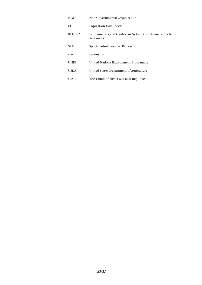| NGO            | Non-Governmental Organization                                       |
|----------------|---------------------------------------------------------------------|
| <b>PDI</b>     | Population Data Index                                               |
| <b>REGENAL</b> | Latin America and Caribbean Network for Animal Genetic<br>Resources |
| <b>SAR</b>     | Special Administrative Region                                       |
| syn.           | synonyms                                                            |
| <b>UNEP</b>    | United Nations Environment Programme                                |
| <b>USDA</b>    | United States Department of Agriculture                             |
| <b>USSR</b>    | The Union of Soviet Socialist Republics                             |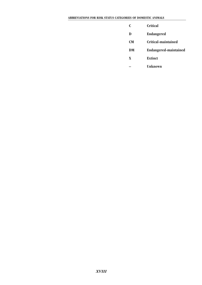- **C Critical**
- **D Endangered**
- **CM Critical-maintained**
- **DM Endangered-maintained**
- **X Extinct**
- **Unknown**